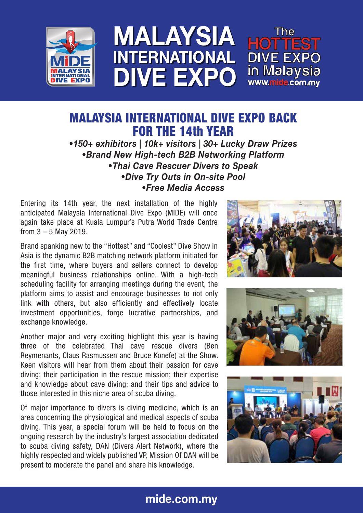

### MALAYSIA INTERNATIONAL DIVE EXPO MALAYSIA INTERNATIONAL DIVE EXPO

# MALAYSIA INTERNATIONAL DIVE EXPO BACK FOR THE 14th YEAR

*•150+ exhibitors | 10k+ visitors | 30+ Lucky Draw Prizes •Brand New High-tech B2B Networking Platform •Thai Cave Rescuer Divers to Speak •Dive Try Outs in On-site Pool •Free Media Access*

Entering its 14th year, the next installation of the highly anticipated Malaysia International Dive Expo (MIDE) will once again take place at Kuala Lumpur's Putra World Trade Centre from 3 – 5 May 2019.

Brand spanking new to the "Hottest" and "Coolest" Dive Show in Asia is the dynamic B2B matching network platform initiated for the first time, where buyers and sellers connect to develop meaningful business relationships online. With a high-tech scheduling facility for arranging meetings during the event, the platform aims to assist and encourage businesses to not only link with others, but also efficiently and effectively locate investment opportunities, forge lucrative partnerships, and exchange knowledge.

Another major and very exciting highlight this year is having three of the celebrated Thai cave rescue divers (Ben Reymenants, Claus Rasmussen and Bruce Konefe) at the Show. Keen visitors will hear from them about their passion for cave diving; their participation in the rescue mission; their expertise and knowledge about cave diving; and their tips and advice to those interested in this niche area of scuba diving.

Of major importance to divers is diving medicine, which is an area concerning the physiological and medical aspects of scuba diving. This year, a special forum will be held to focus on the ongoing research by the industry's largest association dedicated to scuba diving safety, DAN (Divers Alert Network), where the highly respected and widely published VP, Mission Of DAN will be present to moderate the panel and share his knowledge.







## mide.com.my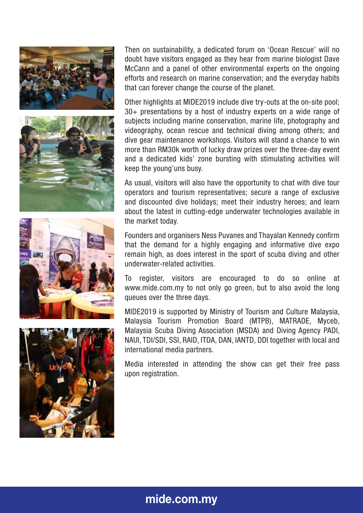







Then on sustainability, a dedicated forum on 'Ocean Rescue' will no doubt have visitors engaged as they hear from marine biologist Dave McCann and a panel of other environmental experts on the ongoing efforts and research on marine conservation; and the everyday habits that can forever change the course of the planet.

Other highlights at MIDE2019 include dive try-outs at the on-site pool; 30+ presentations by a host of industry experts on a wide range of subjects including marine conservation, marine life, photography and videography, ocean rescue and technical diving among others; and dive gear maintenance workshops. Visitors will stand a chance to win more than RM30k worth of lucky draw prizes over the three-day event and a dedicated kids' zone bursting with stimulating activities will keep the young'uns busy.

As usual, visitors will also have the opportunity to chat with dive tour operators and tourism representatives; secure a range of exclusive and discounted dive holidays; meet their industry heroes; and learn about the latest in cutting-edge underwater technologies available in the market today.

Founders and organisers Ness Puvanes and Thayalan Kennedy confirm that the demand for a highly engaging and informative dive expo remain high, as does interest in the sport of scuba diving and other underwater-related activities.

To register, visitors are encouraged to do so online at www.mide.com.my to not only go green, but to also avoid the long queues over the three days.

MIDE2019 is supported by Ministry of Tourism and Culture Malaysia, Malaysia Tourism Promotion Board (MTPB), MATRADE, Myceb, Malaysia Scuba Diving Association (MSDA) and Diving Agency PADI, NAUI, TDI/SDI, SSI, RAID, ITDA, DAN, IANTD, DDI together with local and international media partners.

Media interested in attending the show can get their free pass upon registration.

### mide.com.my